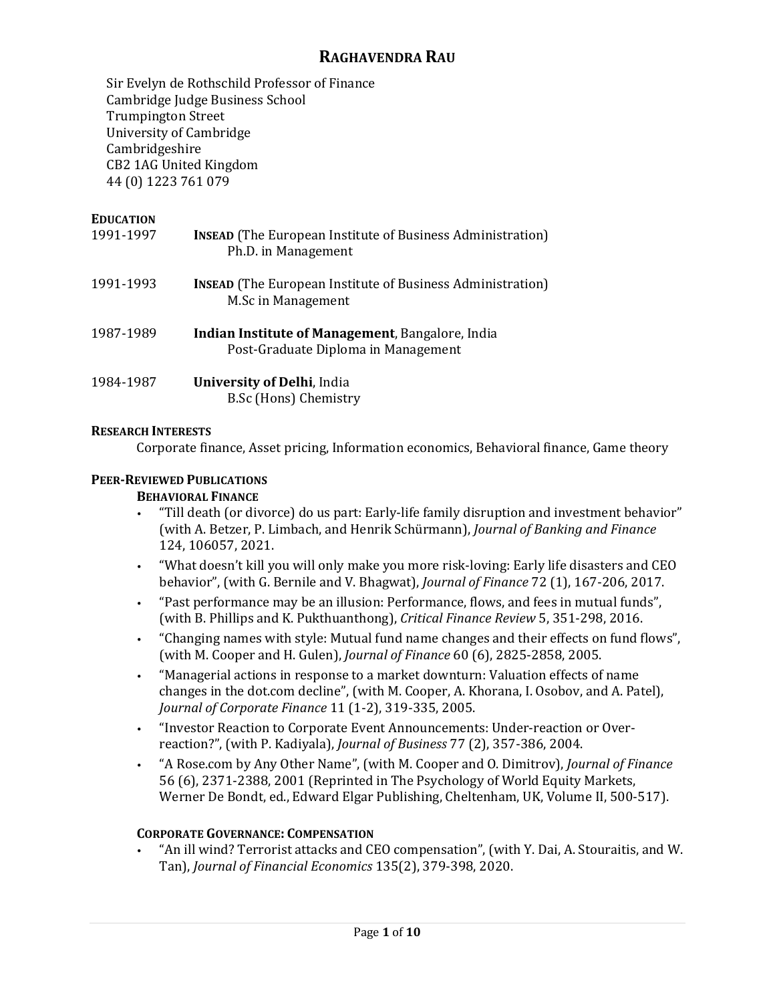# **RAGHAVENDRA RAU**

Sir Evelyn de Rothschild Professor of Finance Cambridge Judge Business School Trumpington Street University of Cambridge Cambridgeshire CB2 1AG United Kingdom 44 (0) 1223 761 079

# **EDUCATION**

- 1991-1997 **INSEAD** (The European Institute of Business Administration) Ph.D. in Management
- 1991-1993 **INSEAD** (The European Institute of Business Administration) M.Sc in Management
- 1987-1989 **Indian Institute of Management**, Bangalore, India Post-Graduate Diploma in Management
- 1984-1987 **University of Delhi**, India B.Sc (Hons) Chemistry

# **RESEARCH INTERESTS**

Corporate finance, Asset pricing, Information economics, Behavioral finance, Game theory

# **PEER-REVIEWED PUBLICATIONS**

### **BEHAVIORAL FINANCE**

- "Till death (or divorce) do us part: Early-life family disruption and investment behavior" (with A. Betzer, P. Limbach, and Henrik Schürmann), *Journal of Banking and Finance* 124, 106057, 2021.
- "What doesn't kill you will only make you more risk-loving: Early life disasters and CEO behavior", (with G. Bernile and V. Bhagwat), *Journal of Finance* 72 (1), 167-206, 2017.
- "Past performance may be an illusion: Performance, flows, and fees in mutual funds", (with B. Phillips and K. Pukthuanthong), *Critical Finance Review* 5, 351-298, 2016.
- "Changing names with style: Mutual fund name changes and their effects on fund flows", (with M. Cooper and H. Gulen), *Journal of Finance* 60 (6), 2825-2858, 2005.
- "Managerial actions in response to a market downturn: Valuation effects of name changes in the dot.com decline", (with M. Cooper, A. Khorana, I. Osobov, and A. Patel), *Journal of Corporate Finance* 11 (1-2), 319-335, 2005.
- "Investor Reaction to Corporate Event Announcements: Under-reaction or Overreaction?", (with P. Kadiyala), *Journal of Business* 77 (2), 357-386, 2004.
- "A Rose.com by Any Other Name", (with M. Cooper and O. Dimitrov), *Journal of Finance* 56 (6), 2371-2388, 2001 (Reprinted in The Psychology of World Equity Markets, Werner De Bondt, ed., Edward Elgar Publishing, Cheltenham, UK, Volume II, 500-517).

# **CORPORATE GOVERNANCE: COMPENSATION**

• "An ill wind? Terrorist attacks and CEO compensation", (with Y. Dai, A. Stouraitis, and W. Tan), *Journal of Financial Economics* 135(2), 379-398, 2020.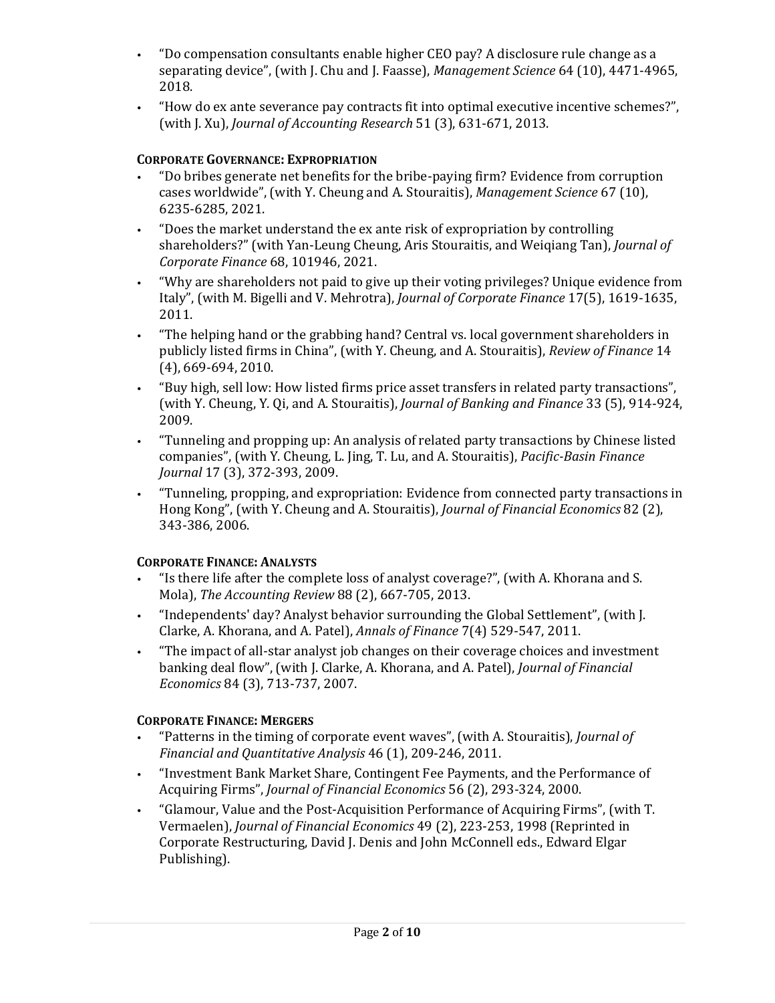- "Do compensation consultants enable higher CEO pay? A disclosure rule change as a separating device", (with J. Chu and J. Faasse), *Management Science* 64 (10), 4471-4965, 2018.
- "How do ex ante severance pay contracts fit into optimal executive incentive schemes?", (with J. Xu), *Journal of Accounting Research* 51 (3), 631-671, 2013.

# **CORPORATE GOVERNANCE: EXPROPRIATION**

- "Do bribes generate net benefits for the bribe-paying firm? Evidence from corruption cases worldwide", (with Y. Cheung and A. Stouraitis), *Management Science* 67 (10), 6235-6285, 2021.
- "Does the market understand the ex ante risk of expropriation by controlling shareholders?" (with Yan-Leung Cheung, Aris Stouraitis, and Weiqiang Tan), *Journal of Corporate Finance* 68, 101946, 2021.
- "Why are shareholders not paid to give up their voting privileges? Unique evidence from Italy", (with M. Bigelli and V. Mehrotra), *Journal of Corporate Finance* 17(5), 1619-1635, 2011.
- "The helping hand or the grabbing hand? Central vs. local government shareholders in publicly listed firms in China", (with Y. Cheung, and A. Stouraitis), *Review of Finance* 14 (4), 669-694, 2010.
- "Buy high, sell low: How listed firms price asset transfers in related party transactions", (with Y. Cheung, Y. Qi, and A. Stouraitis), *Journal of Banking and Finance* 33 (5), 914-924, 2009.
- "Tunneling and propping up: An analysis of related party transactions by Chinese listed companies", (with Y. Cheung, L. Jing, T. Lu, and A. Stouraitis), *Pacific-Basin Finance Journal* 17 (3), 372-393, 2009.
- "Tunneling, propping, and expropriation: Evidence from connected party transactions in Hong Kong", (with Y. Cheung and A. Stouraitis), *Journal of Financial Economics* 82 (2), 343-386, 2006.

# **CORPORATE FINANCE: ANALYSTS**

- "Is there life after the complete loss of analyst coverage?", (with A. Khorana and S. Mola), *The Accounting Review* 88 (2), 667-705, 2013.
- "Independents' day? Analyst behavior surrounding the Global Settlement", (with J. Clarke, A. Khorana, and A. Patel), *Annals of Finance* 7(4) 529-547, 2011.
- "The impact of all-star analyst job changes on their coverage choices and investment banking deal flow", (with J. Clarke, A. Khorana, and A. Patel), *Journal of Financial Economics* 84 (3), 713-737, 2007.

# **CORPORATE FINANCE: MERGERS**

- "Patterns in the timing of corporate event waves", (with A. Stouraitis), *Journal of Financial and Quantitative Analysis* 46 (1), 209-246, 2011.
- "Investment Bank Market Share, Contingent Fee Payments, and the Performance of Acquiring Firms", *Journal of Financial Economics* 56 (2), 293-324, 2000.
- "Glamour, Value and the Post-Acquisition Performance of Acquiring Firms", (with T. Vermaelen), *Journal of Financial Economics* 49 (2), 223-253, 1998 (Reprinted in Corporate Restructuring, David J. Denis and John McConnell eds., Edward Elgar Publishing).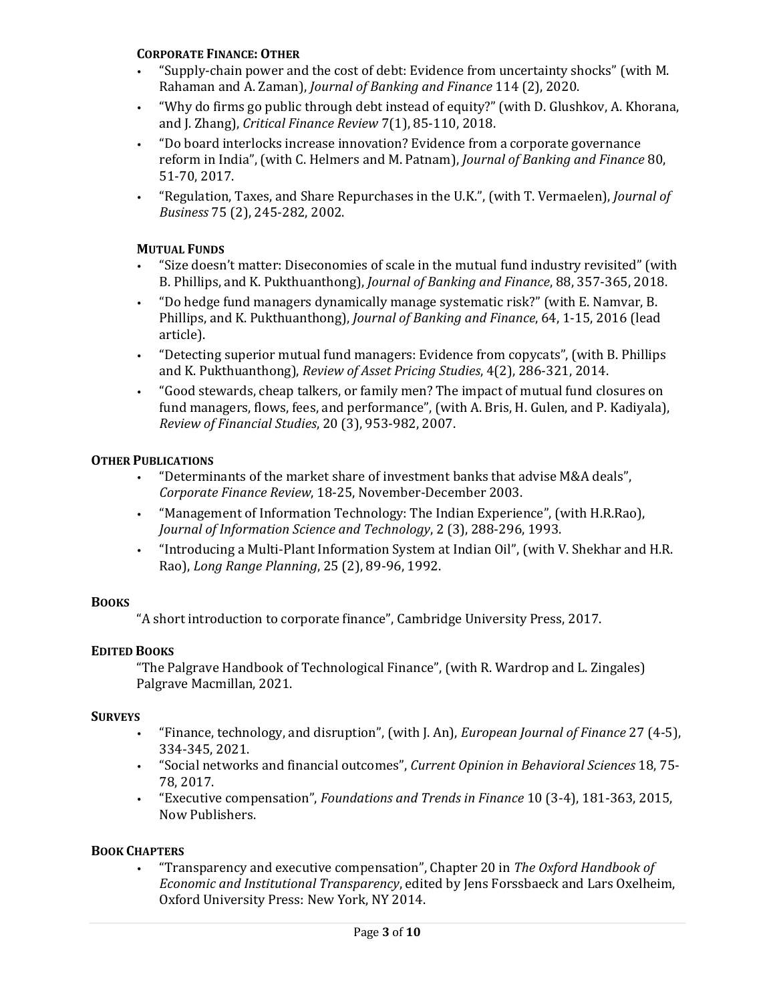#### **CORPORATE FINANCE: OTHER**

- "Supply-chain power and the cost of debt: Evidence from uncertainty shocks" (with M. Rahaman and A. Zaman), *Journal of Banking and Finance* 114 (2), 2020.
- "Why do firms go public through debt instead of equity?" (with D. Glushkov, A. Khorana, and J. Zhang), *Critical Finance Review* 7(1), 85-110, 2018.
- "Do board interlocks increase innovation? Evidence from a corporate governance reform in India", (with C. Helmers and M. Patnam), *Journal of Banking and Finance* 80, 51-70, 2017.
- "Regulation, Taxes, and Share Repurchases in the U.K.", (with T. Vermaelen), *Journal of Business* 75 (2), 245-282, 2002.

## **MUTUAL FUNDS**

- "Size doesn't matter: Diseconomies of scale in the mutual fund industry revisited" (with B. Phillips, and K. Pukthuanthong), *Journal of Banking and Finance*, 88, 357-365, 2018.
- "Do hedge fund managers dynamically manage systematic risk?" (with E. Namvar, B. Phillips, and K. Pukthuanthong), *Journal of Banking and Finance*, 64, 1-15, 2016 (lead article).
- "Detecting superior mutual fund managers: Evidence from copycats", (with B. Phillips and K. Pukthuanthong), *Review of Asset Pricing Studies*, 4(2), 286-321, 2014.
- "Good stewards, cheap talkers, or family men? The impact of mutual fund closures on fund managers, flows, fees, and performance", (with A. Bris, H. Gulen, and P. Kadiyala), *Review of Financial Studies*, 20 (3), 953-982, 2007.

## **OTHER PUBLICATIONS**

- "Determinants of the market share of investment banks that advise M&A deals", *Corporate Finance Review*, 18-25, November-December 2003.
- "Management of Information Technology: The Indian Experience", (with H.R.Rao), *Journal of Information Science and Technology*, 2 (3), 288-296, 1993.
- "Introducing a Multi-Plant Information System at Indian Oil", (with V. Shekhar and H.R. Rao), *Long Range Planning*, 25 (2), 89-96, 1992.

#### **BOOKS**

"A short introduction to corporate finance", Cambridge University Press, 2017.

#### **EDITED BOOKS**

"The Palgrave Handbook of Technological Finance", (with R. Wardrop and L. Zingales) Palgrave Macmillan, 2021.

#### **SURVEYS**

- "Finance, technology, and disruption", (with J. An), *European Journal of Finance* 27 (4-5), 334-345, 2021.
- "Social networks and financial outcomes", *Current Opinion in Behavioral Sciences* 18, 75- 78, 2017.
- "Executive compensation", *Foundations and Trends in Finance* 10 (3-4), 181-363, 2015, Now Publishers.

#### **BOOK CHAPTERS**

• "Transparency and executive compensation", Chapter 20 in *The Oxford Handbook of Economic and Institutional Transparency*, edited by Jens Forssbaeck and Lars Oxelheim, Oxford University Press: New York, NY 2014.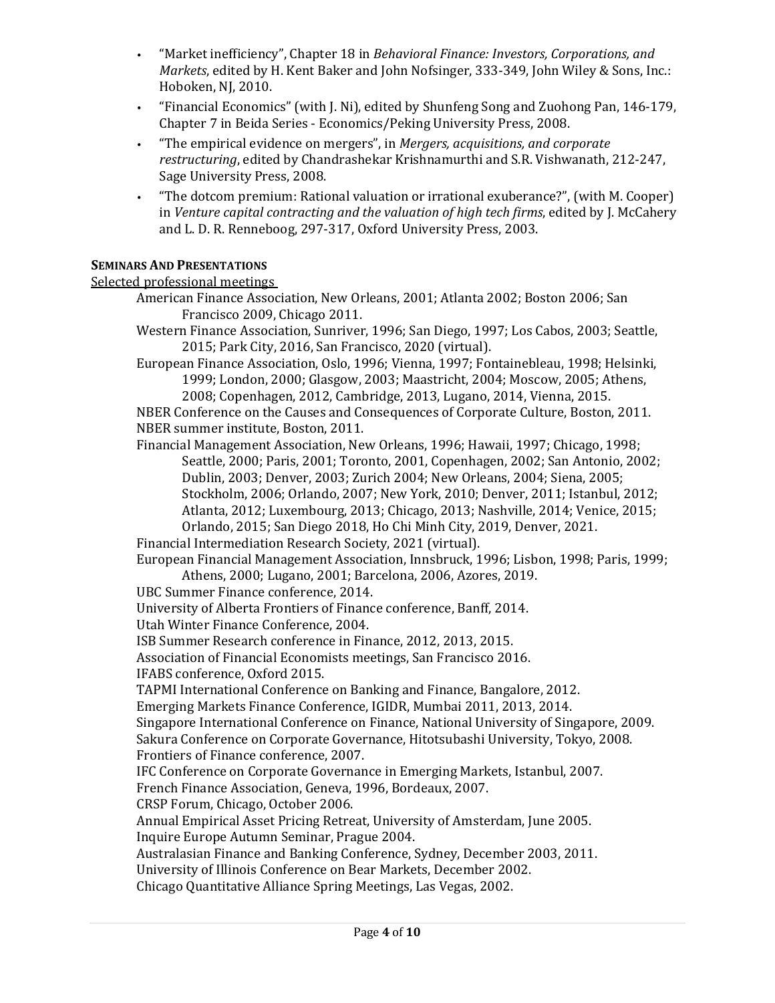- "Market inefficiency", Chapter 18 in *Behavioral Finance: Investors, Corporations, and Markets*, edited by H. Kent Baker and John Nofsinger, 333-349, John Wiley & Sons, Inc.: Hoboken, NJ, 2010.
- "Financial Economics" (with J. Ni), edited by Shunfeng Song and Zuohong Pan, 146-179, Chapter 7 in Beida Series - Economics/Peking University Press, 2008.
- "The empirical evidence on mergers", in *Mergers, acquisitions, and corporate restructuring*, edited by Chandrashekar Krishnamurthi and S.R. Vishwanath, 212-247, Sage University Press, 2008.
- "The dotcom premium: Rational valuation or irrational exuberance?", (with M. Cooper) in *Venture capital contracting and the valuation of high tech firms*, edited by J. McCahery and L. D. R. Renneboog, 297-317, Oxford University Press, 2003.

# **SEMINARS AND PRESENTATIONS**

# Selected professional meetings

- American Finance Association, New Orleans, 2001; Atlanta 2002; Boston 2006; San Francisco 2009, Chicago 2011.
- Western Finance Association, Sunriver, 1996; San Diego, 1997; Los Cabos, 2003; Seattle, 2015; Park City, 2016, San Francisco, 2020 (virtual).
- European Finance Association, Oslo, 1996; Vienna, 1997; Fontainebleau, 1998; Helsinki, 1999; London, 2000; Glasgow, 2003; Maastricht, 2004; Moscow, 2005; Athens, 2008; Copenhagen, 2012, Cambridge, 2013, Lugano, 2014, Vienna, 2015.

NBER Conference on the Causes and Consequences of Corporate Culture, Boston, 2011. NBER summer institute, Boston, 2011.

Financial Management Association, New Orleans, 1996; Hawaii, 1997; Chicago, 1998; Seattle, 2000; Paris, 2001; Toronto, 2001, Copenhagen, 2002; San Antonio, 2002; Dublin, 2003; Denver, 2003; Zurich 2004; New Orleans, 2004; Siena, 2005; Stockholm, 2006; Orlando, 2007; New York, 2010; Denver, 2011; Istanbul, 2012; Atlanta, 2012; Luxembourg, 2013; Chicago, 2013; Nashville, 2014; Venice, 2015; Orlando, 2015; San Diego 2018, Ho Chi Minh City, 2019, Denver, 2021.

Financial Intermediation Research Society, 2021 (virtual).

European Financial Management Association, Innsbruck, 1996; Lisbon, 1998; Paris, 1999; Athens, 2000; Lugano, 2001; Barcelona, 2006, Azores, 2019.

UBC Summer Finance conference, 2014.

University of Alberta Frontiers of Finance conference, Banff, 2014.

Utah Winter Finance Conference, 2004.

ISB Summer Research conference in Finance, 2012, 2013, 2015.

Association of Financial Economists meetings, San Francisco 2016.

IFABS conference, Oxford 2015.

TAPMI International Conference on Banking and Finance, Bangalore, 2012.

Emerging Markets Finance Conference, IGIDR, Mumbai 2011, 2013, 2014.

Singapore International Conference on Finance, National University of Singapore, 2009. Sakura Conference on Corporate Governance, Hitotsubashi University, Tokyo, 2008.

Frontiers of Finance conference, 2007.

IFC Conference on Corporate Governance in Emerging Markets, Istanbul, 2007.

French Finance Association, Geneva, 1996, Bordeaux, 2007.

CRSP Forum, Chicago, October 2006.

Annual Empirical Asset Pricing Retreat, University of Amsterdam, June 2005. Inquire Europe Autumn Seminar, Prague 2004.

Australasian Finance and Banking Conference, Sydney, December 2003, 2011.

University of Illinois Conference on Bear Markets, December 2002.

Chicago Quantitative Alliance Spring Meetings, Las Vegas, 2002.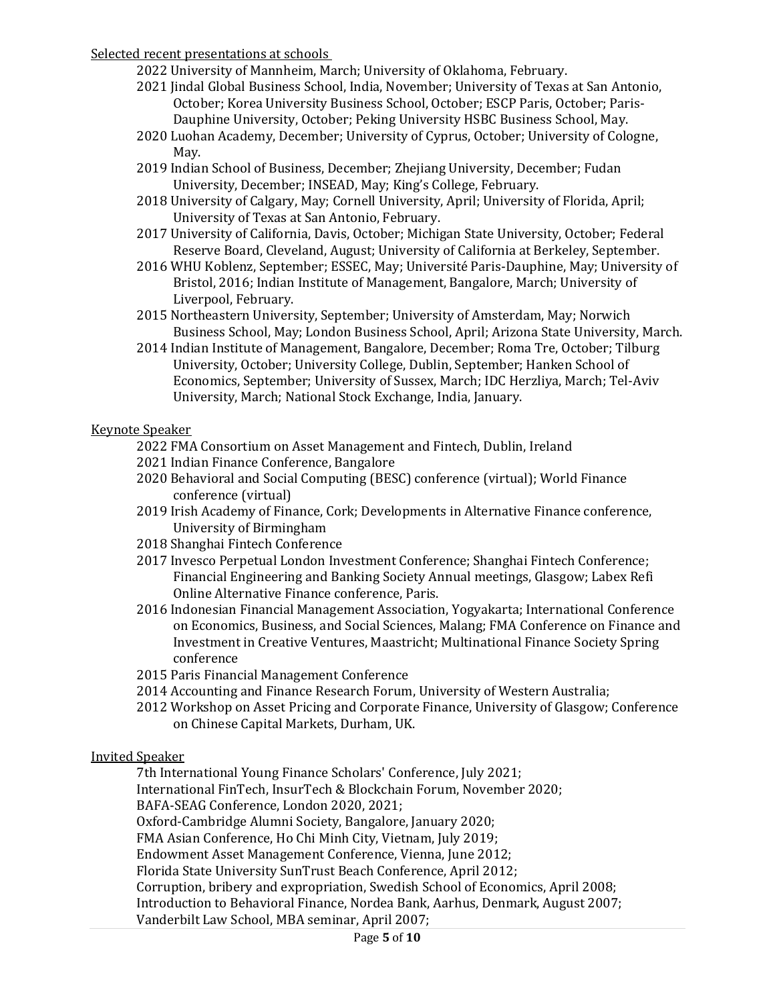## Selected recent presentations at schools

2022 University of Mannheim, March; University of Oklahoma, February.

- 2021 Jindal Global Business School, India, November; University of Texas at San Antonio, October; Korea University Business School, October; ESCP Paris, October; Paris-Dauphine University, October; Peking University HSBC Business School, May.
- 2020 Luohan Academy, December; University of Cyprus, October; University of Cologne, May.
- 2019 Indian School of Business, December; Zhejiang University, December; Fudan University, December; INSEAD, May; King's College, February.
- 2018 University of Calgary, May; Cornell University, April; University of Florida, April; University of Texas at San Antonio, February.
- 2017 University of California, Davis, October; Michigan State University, October; Federal Reserve Board, Cleveland, August; University of California at Berkeley, September.
- 2016 WHU Koblenz, September; ESSEC, May; Université Paris-Dauphine, May; University of Bristol, 2016; Indian Institute of Management, Bangalore, March; University of Liverpool, February.
- 2015 Northeastern University, September; University of Amsterdam, May; Norwich Business School, May; London Business School, April; Arizona State University, March.
- 2014 Indian Institute of Management, Bangalore, December; Roma Tre, October; Tilburg University, October; University College, Dublin, September; Hanken School of Economics, September; University of Sussex, March; IDC Herzliya, March; Tel-Aviv University, March; National Stock Exchange, India, January.

## Keynote Speaker

- 2022 FMA Consortium on Asset Management and Fintech, Dublin, Ireland
- 2021 Indian Finance Conference, Bangalore
- 2020 Behavioral and Social Computing (BESC) conference (virtual); World Finance conference (virtual)
- 2019 Irish Academy of Finance, Cork; Developments in Alternative Finance conference, University of Birmingham
- 2018 Shanghai Fintech Conference
- 2017 Invesco Perpetual London Investment Conference; Shanghai Fintech Conference; Financial Engineering and Banking Society Annual meetings, Glasgow; Labex Refi Online Alternative Finance conference, Paris.
- 2016 Indonesian Financial Management Association, Yogyakarta; International Conference on Economics, Business, and Social Sciences, Malang; FMA Conference on Finance and Investment in Creative Ventures, Maastricht; Multinational Finance Society Spring conference
- 2015 Paris Financial Management Conference
- 2014 Accounting and Finance Research Forum, University of Western Australia;
- 2012 Workshop on Asset Pricing and Corporate Finance, University of Glasgow; Conference on Chinese Capital Markets, Durham, UK.

#### Invited Speaker

7th International Young Finance Scholars' Conference, July 2021;

International FinTech, InsurTech & Blockchain Forum, November 2020;

BAFA-SEAG Conference, London 2020, 2021;

Oxford-Cambridge Alumni Society, Bangalore, January 2020;

FMA Asian Conference, Ho Chi Minh City, Vietnam, July 2019;

Endowment Asset Management Conference, Vienna, June 2012;

Florida State University SunTrust Beach Conference, April 2012;

Corruption, bribery and expropriation, Swedish School of Economics, April 2008;

Introduction to Behavioral Finance, Nordea Bank, Aarhus, Denmark, August 2007;

Vanderbilt Law School, MBA seminar, April 2007;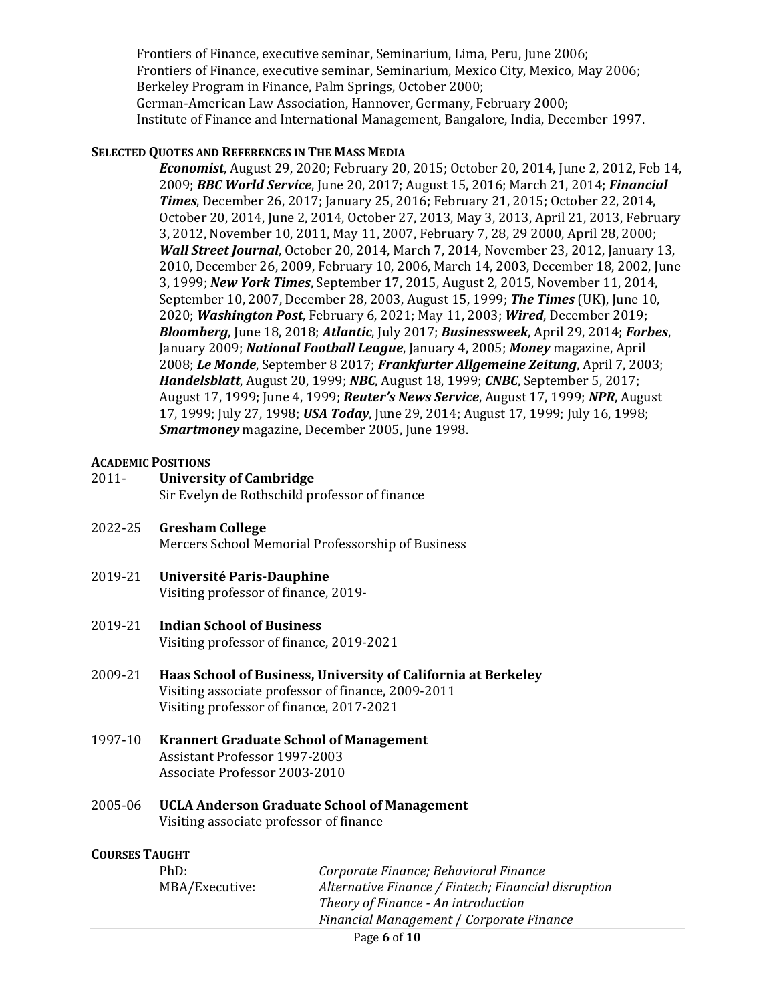Frontiers of Finance, executive seminar, Seminarium, Lima, Peru, June 2006; Frontiers of Finance, executive seminar, Seminarium, Mexico City, Mexico, May 2006; Berkeley Program in Finance, Palm Springs, October 2000; German-American Law Association, Hannover, Germany, February 2000; Institute of Finance and International Management, Bangalore, India, December 1997.

### **SELECTED QUOTES AND REFERENCES IN THE MASS MEDIA**

*Economist*, August 29, 2020; February 20, 2015; October 20, 2014, June 2, 2012, Feb 14, 2009; *BBC World Service*, June 20, 2017; August 15, 2016; March 21, 2014; *Financial Times*, December 26, 2017; January 25, 2016; February 21, 2015; October 22, 2014, October 20, 2014, June 2, 2014, October 27, 2013, May 3, 2013, April 21, 2013, February 3, 2012, November 10, 2011, May 11, 2007, February 7, 28, 29 2000, April 28, 2000; *Wall Street Journal*, October 20, 2014, March 7, 2014, November 23, 2012, January 13, 2010, December 26, 2009, February 10, 2006, March 14, 2003, December 18, 2002, June 3, 1999; *New York Times*, September 17, 2015, August 2, 2015, November 11, 2014, September 10, 2007, December 28, 2003, August 15, 1999; *The Times* (UK), June 10, 2020; *Washington Post*, February 6, 2021; May 11, 2003; *Wired*, December 2019; *Bloomberg*, June 18, 2018; *Atlantic*, July 2017; *Businessweek*, April 29, 2014; *Forbes*, January 2009; *National Football League*, January 4, 2005; *Money* magazine, April 2008; *Le Monde*, September 8 2017; *Frankfurter Allgemeine Zeitung*, April 7, 2003; *Handelsblatt*, August 20, 1999; *NBC*, August 18, 1999; *CNBC*, September 5, 2017; August 17, 1999; June 4, 1999; *Reuter's News Service*, August 17, 1999; *NPR*, August 17, 1999; July 27, 1998; *USA Today*, June 29, 2014; August 17, 1999; July 16, 1998; *Smartmoney* magazine, December 2005, June 1998.

## **ACADEMIC POSITIONS**

- 2011- **University of Cambridge** Sir Evelyn de Rothschild professor of finance
- 2022-25 **Gresham College** Mercers School Memorial Professorship of Business
- 2019-21 **Université Paris-Dauphine** Visiting professor of finance, 2019-
- 2019-21 **Indian School of Business** Visiting professor of finance, 2019-2021
- 2009-21 **Haas School of Business, University of California at Berkeley** Visiting associate professor of finance, 2009-2011 Visiting professor of finance, 2017-2021
- 1997-10 **Krannert Graduate School of Management** Assistant Professor 1997-2003 Associate Professor 2003-2010
- 2005-06 **UCLA Anderson Graduate School of Management** Visiting associate professor of finance

# **COURSES TAUGHT**

| Theory of Finance - An introduction      | Alternative Finance / Fintech; Financial disruption |
|------------------------------------------|-----------------------------------------------------|
| Financial Management / Corporate Finance |                                                     |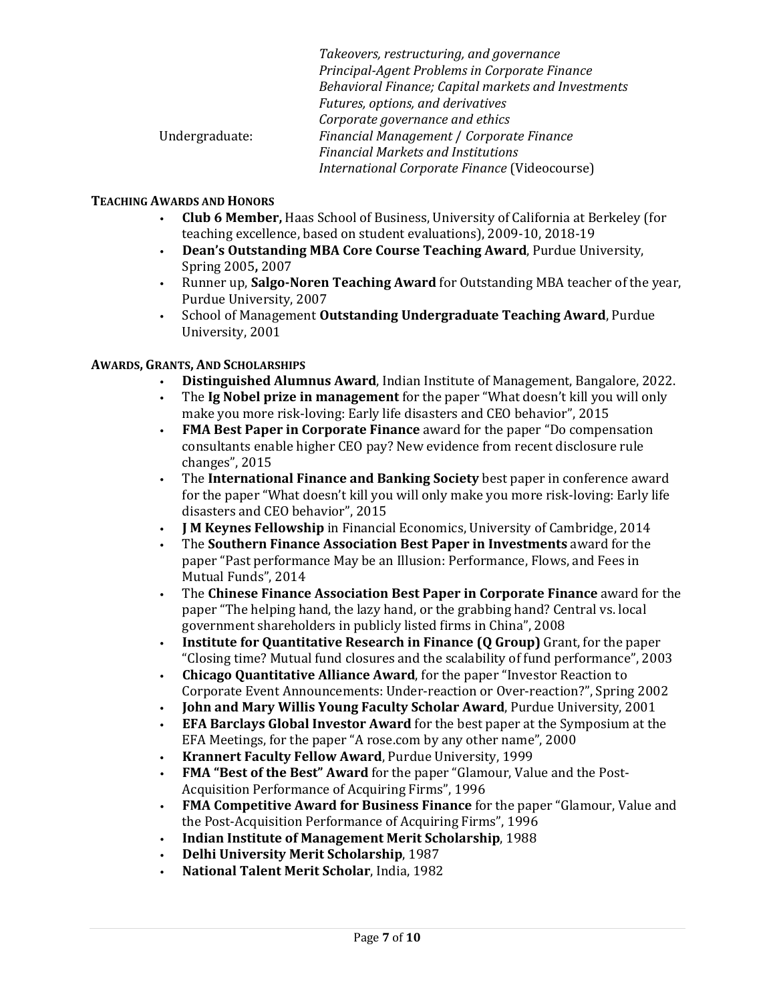|                | Takeovers, restructuring, and governance            |
|----------------|-----------------------------------------------------|
|                | Principal-Agent Problems in Corporate Finance       |
|                | Behavioral Finance; Capital markets and Investments |
|                | Futures, options, and derivatives                   |
|                | Corporate governance and ethics                     |
| Undergraduate: | Financial Management / Corporate Finance            |
|                | <b>Financial Markets and Institutions</b>           |
|                | International Corporate Finance (Videocourse)       |
|                |                                                     |

# **TEACHING AWARDS AND HONORS**

- **Club 6 Member,** Haas School of Business, University of California at Berkeley (for teaching excellence, based on student evaluations), 2009-10, 2018-19
- **Dean's Outstanding MBA Core Course Teaching Award**, Purdue University, Spring 2005**,** 2007
- Runner up, **Salgo-Noren Teaching Award** for Outstanding MBA teacher of the year, Purdue University, 2007
- School of Management **Outstanding Undergraduate Teaching Award**, Purdue University, 2001

# **AWARDS, GRANTS, AND SCHOLARSHIPS**

- **Distinguished Alumnus Award**, Indian Institute of Management, Bangalore, 2022.
- The **Ig Nobel prize in management** for the paper "What doesn't kill you will only make you more risk-loving: Early life disasters and CEO behavior", 2015
- **FMA Best Paper in Corporate Finance** award for the paper "Do compensation consultants enable higher CEO pay? New evidence from recent disclosure rule changes", 2015
- The **International Finance and Banking Society** best paper in conference award for the paper "What doesn't kill you will only make you more risk-loving: Early life disasters and CEO behavior", 2015
- **J M Keynes Fellowship** in Financial Economics, University of Cambridge, 2014
- The **Southern Finance Association Best Paper in Investments** award for the paper "Past performance May be an Illusion: Performance, Flows, and Fees in Mutual Funds", 2014
- The **Chinese Finance Association Best Paper in Corporate Finance** award for the paper "The helping hand, the lazy hand, or the grabbing hand? Central vs. local government shareholders in publicly listed firms in China", 2008
- **Institute for Quantitative Research in Finance (Q Group)** Grant, for the paper "Closing time? Mutual fund closures and the scalability of fund performance", 2003
- **Chicago Quantitative Alliance Award**, for the paper "Investor Reaction to Corporate Event Announcements: Under-reaction or Over-reaction?", Spring 2002
- **John and Mary Willis Young Faculty Scholar Award**, Purdue University, 2001
- **EFA Barclays Global Investor Award** for the best paper at the Symposium at the EFA Meetings, for the paper "A rose.com by any other name", 2000
- **Krannert Faculty Fellow Award**, Purdue University, 1999
- **FMA "Best of the Best" Award** for the paper "Glamour, Value and the Post-Acquisition Performance of Acquiring Firms", 1996
- **FMA Competitive Award for Business Finance** for the paper "Glamour, Value and the Post-Acquisition Performance of Acquiring Firms", 1996
- **Indian Institute of Management Merit Scholarship**, 1988
- **Delhi University Merit Scholarship**, 1987
- **National Talent Merit Scholar**, India, 1982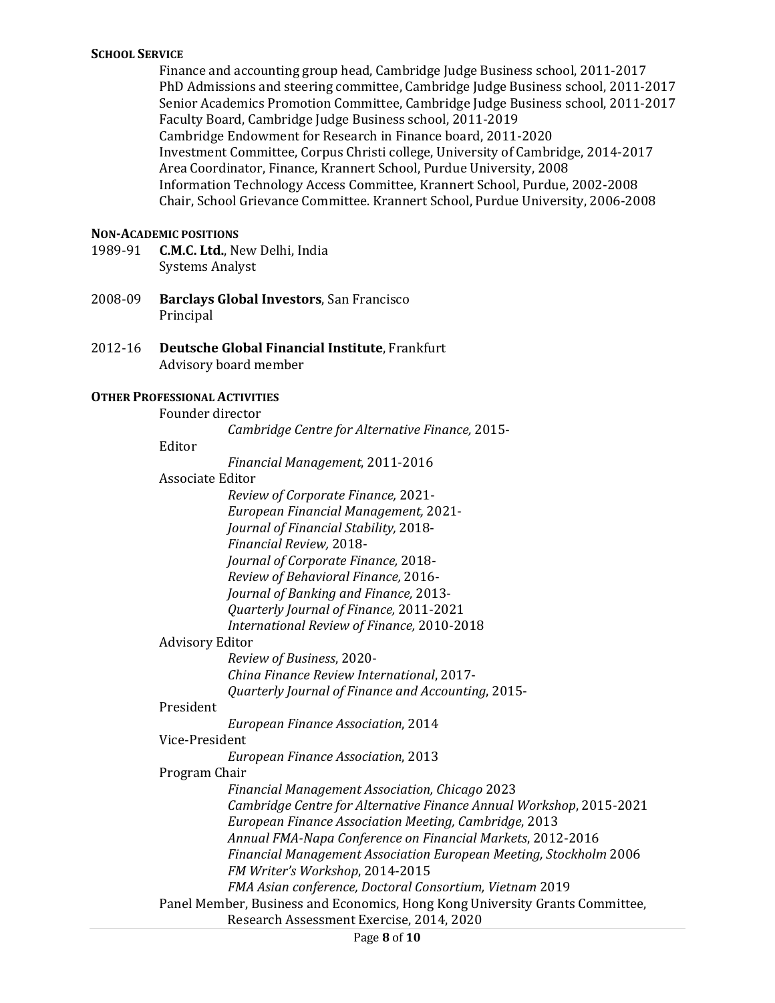## **SCHOOL SERVICE**

Finance and accounting group head, Cambridge Judge Business school, 2011-2017 PhD Admissions and steering committee, Cambridge Judge Business school, 2011-2017 Senior Academics Promotion Committee, Cambridge Judge Business school, 2011-2017 Faculty Board, Cambridge Judge Business school, 2011-2019 Cambridge Endowment for Research in Finance board, 2011-2020 Investment Committee, Corpus Christi college, University of Cambridge, 2014-2017 Area Coordinator, Finance, Krannert School, Purdue University, 2008 Information Technology Access Committee, Krannert School, Purdue, 2002-2008 Chair, School Grievance Committee. Krannert School, Purdue University, 2006-2008

### **NON-ACADEMIC POSITIONS**

- 1989-91 **C.M.C. Ltd.**, New Delhi, India Systems Analyst
- 2008-09 **Barclays Global Investors**, San Francisco Principal
- 2012-16 **Deutsche Global Financial Institute**, Frankfurt Advisory board member

## **OTHER PROFESSIONAL ACTIVITIES**

Founder director

*Cambridge Centre for Alternative Finance,* 2015-

#### Editor

*Financial Management*, 2011-2016

#### Associate Editor

|                        | Review of Corporate Finance, 2021-                                           |
|------------------------|------------------------------------------------------------------------------|
|                        | <b>European Financial Management, 2021-</b>                                  |
|                        | Journal of Financial Stability, 2018-                                        |
|                        | Financial Review, 2018-                                                      |
|                        | Journal of Corporate Finance, 2018-                                          |
|                        | Review of Behavioral Finance, 2016-                                          |
|                        | Journal of Banking and Finance, 2013-                                        |
|                        | Quarterly Journal of Finance, 2011-2021                                      |
|                        | International Review of Finance, 2010-2018                                   |
| <b>Advisory Editor</b> |                                                                              |
|                        | Review of Business, 2020-                                                    |
|                        | China Finance Review International, 2017-                                    |
|                        | Quarterly Journal of Finance and Accounting, 2015-                           |
| President              |                                                                              |
|                        | European Finance Association, 2014                                           |
| Vice-President         |                                                                              |
|                        | European Finance Association, 2013                                           |
| Program Chair          |                                                                              |
|                        | <b>Financial Management Association, Chicago 2023</b>                        |
|                        | Cambridge Centre for Alternative Finance Annual Workshop, 2015-2021          |
|                        | European Finance Association Meeting, Cambridge, 2013                        |
|                        | Annual FMA-Napa Conference on Financial Markets, 2012-2016                   |
|                        | Financial Management Association European Meeting, Stockholm 2006            |
|                        | FM Writer's Workshop, 2014-2015                                              |
|                        | FMA Asian conference, Doctoral Consortium, Vietnam 2019                      |
|                        | Panel Member, Business and Economics, Hong Kong University Grants Committee, |
|                        | Research Assessment Exercise, 2014, 2020                                     |
|                        |                                                                              |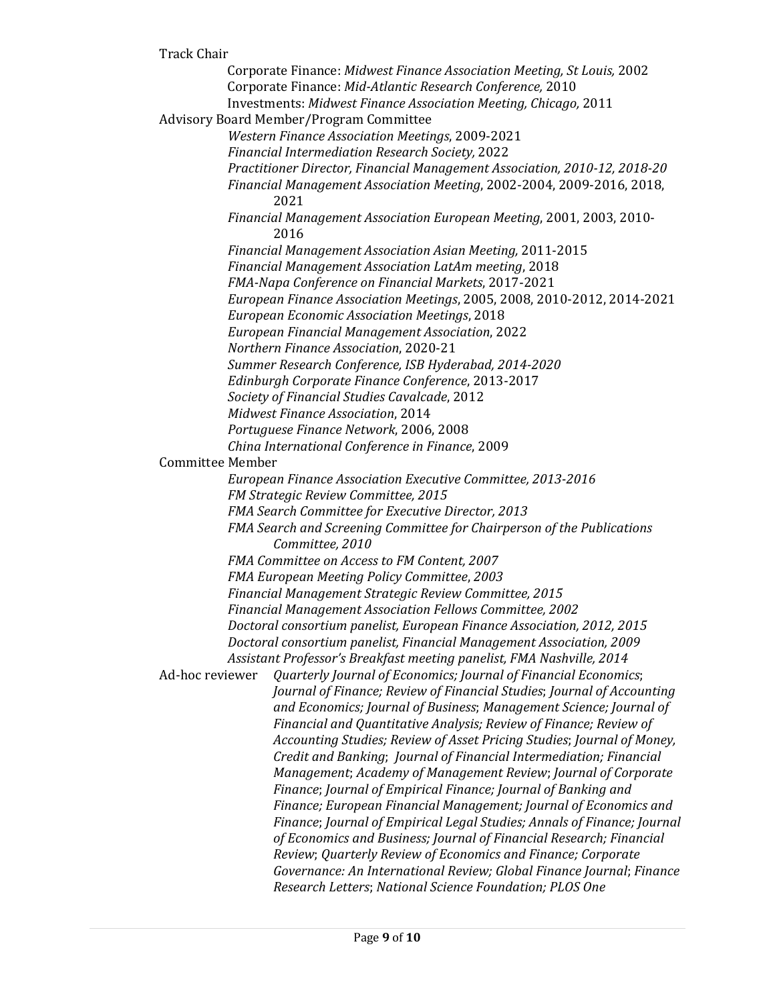#### Track Chair

Corporate Finance: *Midwest Finance Association Meeting, St Louis,* 2002 Corporate Finance: *Mid-Atlantic Research Conference,* 2010 Investments: *Midwest Finance Association Meeting, Chicago,* 2011 Advisory Board Member/Program Committee *Western Finance Association Meetings*, 2009-2021 *Financial Intermediation Research Society,* 2022 *Practitioner Director, Financial Management Association, 2010-12, 2018-20 Financial Management Association Meeting*, 2002-2004, 2009-2016, 2018, 2021 *Financial Management Association European Meeting*, 2001, 2003, 2010- 2016 *Financial Management Association Asian Meeting,* 2011-2015 *Financial Management Association LatAm meeting*, 2018 *FMA-Napa Conference on Financial Markets*, 2017-2021 *European Finance Association Meetings*, 2005, 2008, 2010-2012, 2014-2021 *European Economic Association Meetings*, 2018 *European Financial Management Association*, 2022 *Northern Finance Association*, 2020-21 *Summer Research Conference, ISB Hyderabad, 2014-2020 Edinburgh Corporate Finance Conference*, 2013-2017 *Society of Financial Studies Cavalcade*, 2012 *Midwest Finance Association*, 2014 *Portuguese Finance Network*, 2006, 2008 *China International Conference in Finance*, 2009 Committee Member *European Finance Association Executive Committee, 2013-2016 FM Strategic Review Committee, 2015 FMA Search Committee for Executive Director, 2013 FMA Search and Screening Committee for Chairperson of the Publications Committee, 2010 FMA Committee on Access to FM Content, 2007 FMA European Meeting Policy Committee*, *2003 Financial Management Strategic Review Committee, 2015 Financial Management Association Fellows Committee, 2002 Doctoral consortium panelist, European Finance Association, 2012, 2015 Doctoral consortium panelist, Financial Management Association, 2009 Assistant Professor's Breakfast meeting panelist, FMA Nashville, 2014* Ad-hoc reviewer *Quarterly Journal of Economics; Journal of Financial Economics*; *Journal of Finance; Review of Financial Studies*; *Journal of Accounting and Economics; Journal of Business*; *Management Science; Journal of Financial and Quantitative Analysis; Review of Finance; Review of Accounting Studies; Review of Asset Pricing Studies*; *Journal of Money, Credit and Banking*; *Journal of Financial Intermediation; Financial Management*; *Academy of Management Review*; *Journal of Corporate Finance*; *Journal of Empirical Finance; Journal of Banking and Finance; European Financial Management; Journal of Economics and Finance*; *Journal of Empirical Legal Studies; Annals of Finance; Journal of Economics and Business; Journal of Financial Research; Financial Review*; *Quarterly Review of Economics and Finance; Corporate Governance: An International Review; Global Finance Journal*; *Finance Research Letters*; *National Science Foundation; PLOS One*